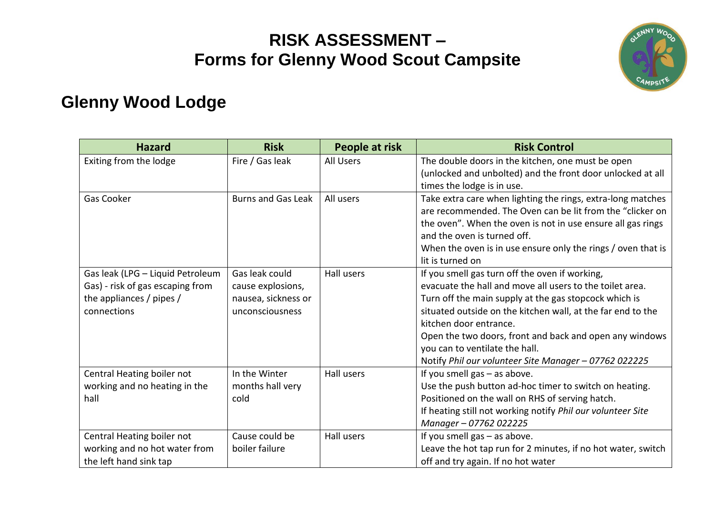### **RISK ASSESSMENT – Forms for Glenny Wood Scout Campsite**



#### **Glenny Wood Lodge**

| <b>Hazard</b>                                                                                                   | <b>Risk</b>                                                                   | People at risk | <b>Risk Control</b>                                                                                                                                                                                                                                                                                                                                                                                                |
|-----------------------------------------------------------------------------------------------------------------|-------------------------------------------------------------------------------|----------------|--------------------------------------------------------------------------------------------------------------------------------------------------------------------------------------------------------------------------------------------------------------------------------------------------------------------------------------------------------------------------------------------------------------------|
| Exiting from the lodge                                                                                          | Fire / Gas leak                                                               | All Users      | The double doors in the kitchen, one must be open<br>(unlocked and unbolted) and the front door unlocked at all<br>times the lodge is in use.                                                                                                                                                                                                                                                                      |
| Gas Cooker                                                                                                      | <b>Burns and Gas Leak</b>                                                     | All users      | Take extra care when lighting the rings, extra-long matches<br>are recommended. The Oven can be lit from the "clicker on<br>the oven". When the oven is not in use ensure all gas rings<br>and the oven is turned off.<br>When the oven is in use ensure only the rings / oven that is<br>lit is turned on                                                                                                         |
| Gas leak (LPG - Liquid Petroleum<br>Gas) - risk of gas escaping from<br>the appliances / pipes /<br>connections | Gas leak could<br>cause explosions,<br>nausea, sickness or<br>unconsciousness | Hall users     | If you smell gas turn off the oven if working,<br>evacuate the hall and move all users to the toilet area.<br>Turn off the main supply at the gas stopcock which is<br>situated outside on the kitchen wall, at the far end to the<br>kitchen door entrance.<br>Open the two doors, front and back and open any windows<br>you can to ventilate the hall.<br>Notify Phil our volunteer Site Manager - 07762 022225 |
| Central Heating boiler not<br>working and no heating in the<br>hall                                             | In the Winter<br>months hall very<br>cold                                     | Hall users     | If you smell gas - as above.<br>Use the push button ad-hoc timer to switch on heating.<br>Positioned on the wall on RHS of serving hatch.<br>If heating still not working notify Phil our volunteer Site<br>Manager - 07762 022225                                                                                                                                                                                 |
| Central Heating boiler not<br>working and no hot water from<br>the left hand sink tap                           | Cause could be<br>boiler failure                                              | Hall users     | If you smell gas - as above.<br>Leave the hot tap run for 2 minutes, if no hot water, switch<br>off and try again. If no hot water                                                                                                                                                                                                                                                                                 |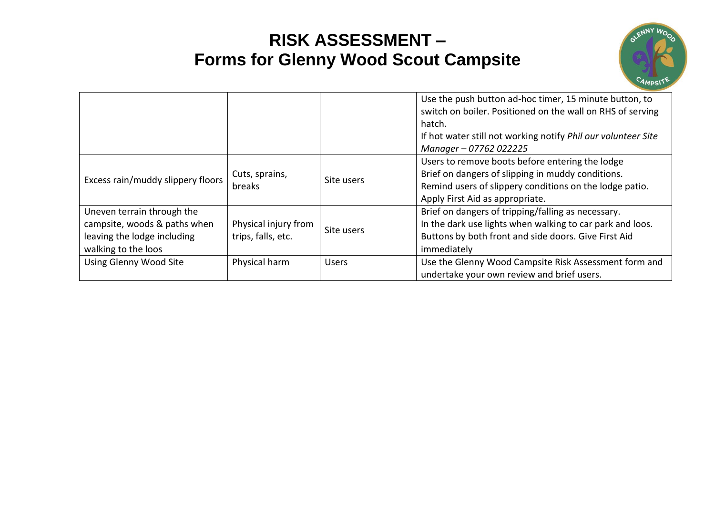# **RISK ASSESSMENT – Forms for Glenny Wood Scout Campsite**



|                                                                                                                  |                                            |              | Use the push button ad-hoc timer, 15 minute button, to<br>switch on boiler. Positioned on the wall on RHS of serving<br>hatch.<br>If hot water still not working notify Phil our volunteer Site<br>Manager - 07762 022225 |
|------------------------------------------------------------------------------------------------------------------|--------------------------------------------|--------------|---------------------------------------------------------------------------------------------------------------------------------------------------------------------------------------------------------------------------|
| Excess rain/muddy slippery floors                                                                                | Cuts, sprains,<br>breaks                   | Site users   | Users to remove boots before entering the lodge<br>Brief on dangers of slipping in muddy conditions.<br>Remind users of slippery conditions on the lodge patio.<br>Apply First Aid as appropriate.                        |
| Uneven terrain through the<br>campsite, woods & paths when<br>leaving the lodge including<br>walking to the loos | Physical injury from<br>trips, falls, etc. | Site users   | Brief on dangers of tripping/falling as necessary.<br>In the dark use lights when walking to car park and loos.<br>Buttons by both front and side doors. Give First Aid<br>immediately                                    |
| Using Glenny Wood Site                                                                                           | Physical harm                              | <b>Users</b> | Use the Glenny Wood Campsite Risk Assessment form and<br>undertake your own review and brief users.                                                                                                                       |